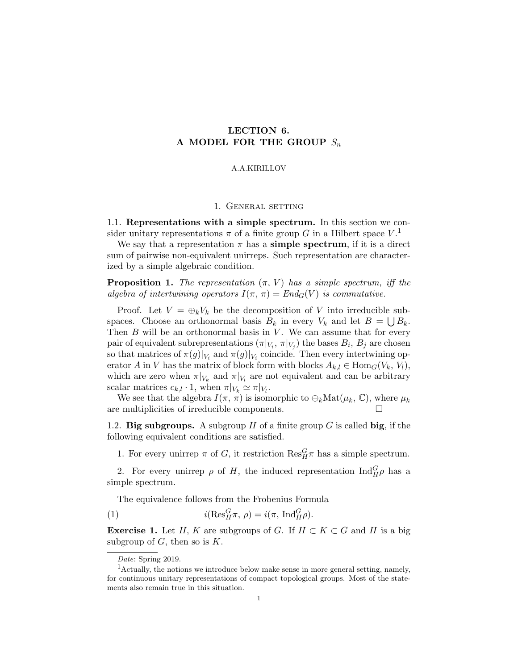# LECTION 6. A MODEL FOR THE GROUP  $S_n$

### A.A.KIRILLOV

### 1. GENERAL SETTING

1.1. Representations with a simple spectrum. In this section we consider unitary representations  $\pi$  of a finite group G in a Hilbert space  $V^{\{1\}}$ .

We say that a representation  $\pi$  has a **simple spectrum**, if it is a direct sum of pairwise non-equivalent unirreps. Such representation are characterized by a simple algebraic condition.

**Proposition 1.** The representation  $(\pi, V)$  has a simple spectrum, iff the algebra of intertwining operators  $I(\pi, \pi) = End_G(V)$  is commutative.

Proof. Let  $V = \bigoplus_k V_k$  be the decomposition of V into irreducible subspaces. Choose an orthonormal basis  $B_k$  in every  $V_k$  and let  $B = \bigcup B_k$ . Then  $B$  will be an orthonormal basis in  $V$ . We can assume that for every pair of equivalent subrepresentations  $(\pi|_{V_i}, \pi|_{V_j})$  the bases  $B_i$ ,  $B_j$  are chosen so that matrices of  $\pi(g)|_{V_i}$  and  $\pi(g)|_{V_i}$  coincide. Then every intertwining operator A in V has the matrix of block form with blocks  $A_{k,l} \in \text{Hom}_G(V_k, V_l)$ , which are zero when  $\pi|_{V_k}$  and  $\pi|_{V_l}$  are not equivalent and can be arbitrary scalar matrices  $c_{k,l} \cdot 1$ , when  $\pi|_{V_k} \simeq \pi|_{V_l}$ .

We see that the algebra  $I(\pi, \pi)$  is isomorphic to  $\bigoplus_k \text{Mat}(\mu_k, \mathbb{C})$ , where  $\mu_k$ are multiplicities of irreducible components.

1.2. Big subgroups. A subgroup  $H$  of a finite group  $G$  is called big, if the following equivalent conditions are satisfied.

1. For every unirrep  $\pi$  of G, it restriction  $\text{Res}_{H}^{G} \pi$  has a simple spectrum.

2. For every unirrep  $\rho$  of H, the induced representation  $\text{Ind}_{H}^{G} \rho$  has a simple spectrum.

The equivalence follows from the Frobenius Formula

(1) 
$$
i(\text{Res}_{H}^{G}\pi, \rho) = i(\pi, \text{Ind}_{H}^{G}\rho).
$$

**Exercise 1.** Let H, K are subgroups of G. If  $H \subset K \subset G$  and H is a big subgroup of  $G$ , then so is  $K$ .

Date: Spring 2019.

<sup>&</sup>lt;sup>1</sup>Actually, the notions we introduce below make sense in more general setting, namely, for continuous unitary representations of compact topological groups. Most of the statements also remain true in this situation.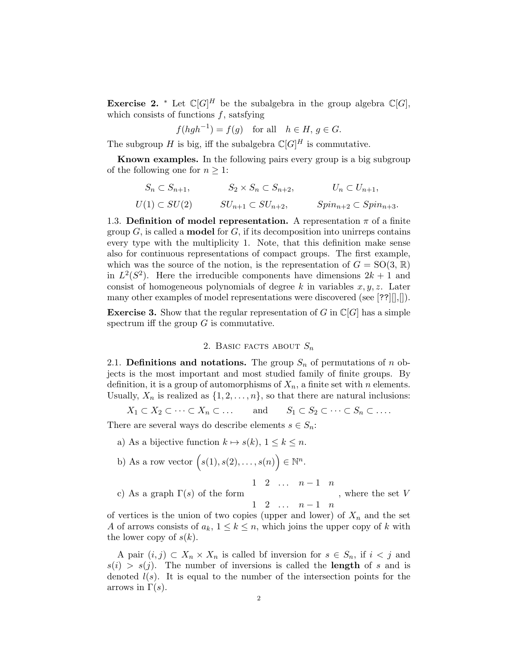**Exercise 2.** \* Let  $\mathbb{C}[G]^H$  be the subalgebra in the group algebra  $\mathbb{C}[G]$ , which consists of functions  $f$ , satsfying

$$
f(hgh^{-1}) = f(g) \quad \text{for all} \quad h \in H, \, g \in G.
$$

The subgroup H is big, iff the subalgebra  $\mathbb{C}[G]^H$  is commutative.

Known examples. In the following pairs every group is a big subgroup of the following one for  $n \geq 1$ :

$$
S_n \subset S_{n+1}, \qquad S_2 \times S_n \subset S_{n+2}, \qquad U_n \subset U_{n+1},
$$
  
 
$$
U(1) \subset SU(2) \qquad SU_{n+1} \subset SU_{n+2}, \qquad Spin_{n+2} \subset Spin_{n+3}.
$$

1.3. Definition of model representation. A representation  $\pi$  of a finite group  $G$ , is called a **model** for  $G$ , if its decomposition into unirreps contains every type with the multiplicity 1. Note, that this definition make sense also for continuous representations of compact groups. The first example, which was the source of the notion, is the representation of  $G = SO(3, \mathbb{R})$ in  $L^2(S^2)$ . Here the irreducible components have dimensions  $2k+1$  and consist of homogeneous polynomials of degree k in variables  $x, y, z$ . Later many other examples of model representations were discovered (see [??][],[]).

**Exercise 3.** Show that the regular representation of G in  $\mathbb{C}[G]$  has a simple spectrum iff the group  $G$  is commutative.

## 2. BASIC FACTS ABOUT  $S_n$

2.1. Definitions and notations. The group  $S_n$  of permutations of n objects is the most important and most studied family of finite groups. By definition, it is a group of automorphisms of  $X_n$ , a finite set with n elements. Usually,  $X_n$  is realized as  $\{1, 2, \ldots, n\}$ , so that there are natural inclusions:

$$
X_1 \subset X_2 \subset \cdots \subset X_n \subset \ldots
$$
 and  $S_1 \subset S_2 \subset \cdots \subset S_n \subset \ldots$ 

There are several ways do describe elements  $s \in S_n$ :

- a) As a bijective function  $k \mapsto s(k)$ ,  $1 \leq k \leq n$ .
- b) As a row vector  $(s(1), s(2), \ldots, s(n)) \in \mathbb{N}^n$ .

1 2 ...  $n-1$  n

c) As a graph  $\Gamma(s)$  of the form  $1 \quad 2 \quad \dots \quad n-1 \quad n$ , where the set V

of vertices is the union of two copies (upper and lower) of  $X_n$  and the set A of arrows consists of  $a_k$ ,  $1 \leq k \leq n$ , which joins the upper copy of k with the lower copy of  $s(k)$ .

A pair  $(i, j) \subset X_n \times X_n$  is called bf inversion for  $s \in S_n$ , if  $i < j$  and  $s(i) > s(j)$ . The number of inversions is called the **length** of s and is denoted  $l(s)$ . It is equal to the number of the intersection points for the arrows in  $\Gamma(s)$ .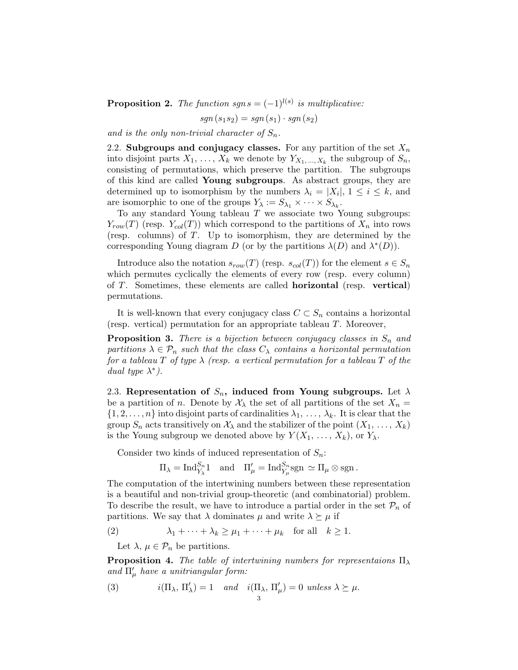**Proposition 2.** The function sgns =  $(-1)^{l(s)}$  is multiplicative:

$$
sgn(s_1s_2) = sgn(s_1) \cdot sgn(s_2)
$$

and is the only non-trivial character of  $S_n$ .

2.2. Subgroups and conjugacy classes. For any partition of the set  $X_n$ into disjoint parts  $X_1, \ldots, X_k$  we denote by  $Y_{X_1, \ldots, X_k}$  the subgroup of  $S_n$ , consisting of permutations, which preserve the partition. The subgroups of this kind are called Young subgroups. As abstract groups, they are determined up to isomorphism by the numbers  $\lambda_i = |X_i|, 1 \leq i \leq k$ , and are isomorphic to one of the groups  $Y_{\lambda} := S_{\lambda_1} \times \cdots \times S_{\lambda_k}$ .

To any standard Young tableau  $T$  we associate two Young subgroups:  $Y_{row}(T)$  (resp.  $Y_{col}(T)$ ) which correspond to the partitions of  $X_n$  into rows (resp. columns) of T. Up to isomorphism, they are determined by the corresponding Young diagram D (or by the partitions  $\lambda(D)$  and  $\lambda^*(D)$ ).

Introduce also the notation  $s_{row}(T)$  (resp.  $s_{col}(T)$ ) for the element  $s \in S_n$ which permutes cyclically the elements of every row (resp. every column) of T. Sometimes, these elements are called horizontal (resp. vertical) permutations.

It is well-known that every conjugacy class  $C \subset S_n$  contains a horizontal (resp. vertical) permutation for an appropriate tableau T. Moreover,

**Proposition 3.** There is a bijection between conjugacy classes in  $S_n$  and partitions  $\lambda \in \mathcal{P}_n$  such that the class  $C_{\lambda}$  contains a horizontal permutation for a tableau T of type  $\lambda$  (resp. a vertical permutation for a tableau T of the dual type  $\lambda^*$ ).

2.3. Representation of  $S_n$ , induced from Young subgroups. Let  $\lambda$ be a partition of n. Denote by  $\mathcal{X}_{\lambda}$  the set of all partitions of the set  $X_n =$  $\{1, 2, \ldots, n\}$  into disjoint parts of cardinalities  $\lambda_1, \ldots, \lambda_k$ . It is clear that the group  $S_n$  acts transitively on  $\mathcal{X}_\lambda$  and the stabilizer of the point  $(X_1, \ldots, X_k)$ is the Young subgroup we denoted above by  $Y(X_1, \ldots, X_k)$ , or  $Y_\lambda$ .

Consider two kinds of induced representation of  $S_n$ :

$$
\Pi_{\lambda} = \text{Ind}_{Y_{\lambda}}^{S_n} 1
$$
 and  $\Pi'_{\mu} = \text{Ind}_{Y_{\mu}}^{S_n} \text{sgn} \simeq \Pi_{\mu} \otimes \text{sgn}$ .

The computation of the intertwining numbers between these representation is a beautiful and non-trivial group-theoretic (and combinatorial) problem. To describe the result, we have to introduce a partial order in the set  $\mathcal{P}_n$  of partitions. We say that  $\lambda$  dominates  $\mu$  and write  $\lambda \succeq \mu$  if

(2) 
$$
\lambda_1 + \dots + \lambda_k \ge \mu_1 + \dots + \mu_k \quad \text{for all} \quad k \ge 1.
$$

Let  $\lambda, \mu \in \mathcal{P}_n$  be partitions.

**Proposition 4.** The table of intertwining numbers for representaions  $\Pi_{\lambda}$ and  $\Pi_{\mu}^{\prime}$  have a unitriangular form:

(3) 
$$
i(\Pi_{\lambda}, \Pi'_{\lambda}) = 1
$$
 and  $i(\Pi_{\lambda}, \Pi'_{\mu}) = 0$  unless  $\lambda \ge \mu$ .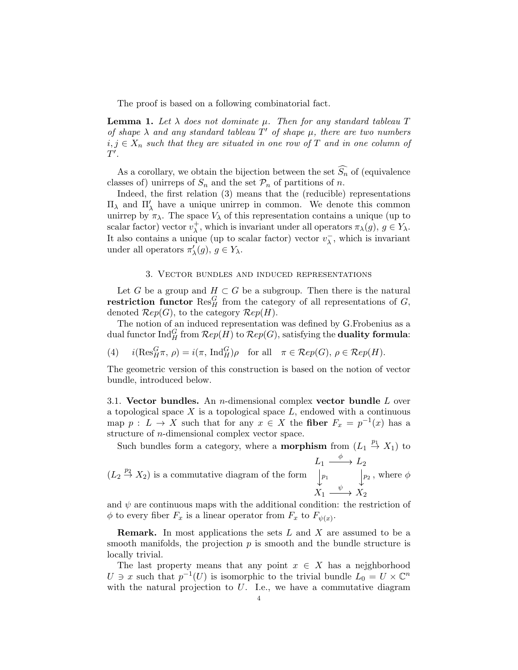The proof is based on a following combinatorial fact.

**Lemma 1.** Let  $\lambda$  does not dominate  $\mu$ . Then for any standard tableau T of shape  $\lambda$  and any standard tableau  $T'$  of shape  $\mu$ , there are two numbers  $i, j \in X_n$  such that they are situated in one row of T and in one column of  $T^{\prime}$ .

As a corollary, we obtain the bijection between the set  $\widehat{S}_n$  of (equivalence classes of) unirreps of  $S_n$  and the set  $\mathcal{P}_n$  of partitions of n.

Indeed, the first relation (3) means that the (reducible) representations  $\Pi_\lambda$  and  $\Pi'_\lambda$  have a unique unirrep in common. We denote this common unirrep by  $\pi_{\lambda}$ . The space  $V_{\lambda}$  of this representation contains a unique (up to scalar factor) vector  $v^+$  $\chi^+$ , which is invariant under all operators  $\pi_\lambda(g)$ ,  $g \in Y_\lambda$ . It also contains a unique (up to scalar factor) vector  $v_{\lambda}^ \overline{\lambda}$ , which is invariant under all operators  $\pi'_{\lambda}(g)$ ,  $g \in Y_{\lambda}$ .

#### 3. Vector bundles and induced representations

Let G be a group and  $H \subset G$  be a subgroup. Then there is the natural restriction functor  $\operatorname{Res}_{H}^{G}$  from the category of all representations of G, denoted  $\mathcal{R}ep(G)$ , to the category  $\mathcal{R}ep(H)$ .

The notion of an induced representation was defined by G.Frobenius as a dual functor Ind<sup>G</sup> <sup>H</sup> from Rep(H) to Rep(G), satisfying the duality formula:

(4) 
$$
i(\text{Res}_H^G \pi, \rho) = i(\pi, \text{Ind}_H^G)\rho
$$
 for all  $\pi \in \mathcal{R}ep(G), \rho \in \mathcal{R}ep(H)$ .

The geometric version of this construction is based on the notion of vector bundle, introduced below.

3.1. Vector bundles. An *n*-dimensional complex vector bundle  $L$  over a topological space  $X$  is a topological space  $L$ , endowed with a continuous map  $p: L \to X$  such that for any  $x \in X$  the fiber  $F_x = p^{-1}(x)$  has a structure of n-dimensional complex vector space.

Such bundles form a category, where a **morphism** from  $(L_1 \stackrel{p_1}{\rightarrow} X_1)$  to

$$
(L_2 \stackrel{p_2}{\rightarrow} X_2)
$$
 is a commutative diagram of the form 
$$
\begin{array}{c}\nL_1 \stackrel{\phi}{\longrightarrow} L_2 \\
\downarrow p_1 \\
X_1 \stackrel{\psi}{\longrightarrow} X_2\n\end{array}
$$
, where  $\phi$ 

and  $\psi$  are continuous maps with the additional condition: the restriction of  $\phi$  to every fiber  $F_x$  is a linear operator from  $F_x$  to  $F_{\psi(x)}$ .

**Remark.** In most applications the sets  $L$  and  $X$  are assumed to be a smooth manifolds, the projection  $p$  is smooth and the bundle structure is locally trivial.

The last property means that any point  $x \in X$  has a neighborhood  $U \ni x$  such that  $p^{-1}(U)$  is isomorphic to the trivial bundle  $L_0 = U \times \mathbb{C}^n$ with the natural projection to  $U$ . I.e., we have a commutative diagram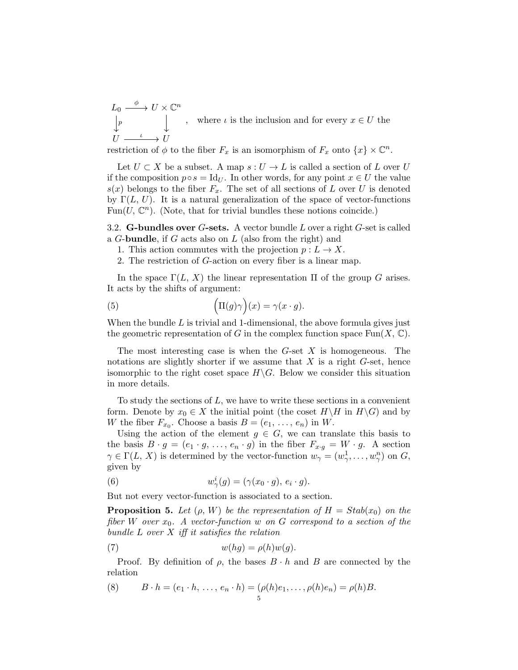$L_0 \stackrel{\phi}{-\!\!\!-\!\!\!-\!\!\!\longrightarrow} U \times {\mathbb C}^n$  $U \xrightarrow{\iota} U$ φ p ι , where  $\iota$  is the inclusion and for every  $x \in U$  the

restriction of  $\phi$  to the fiber  $F_x$  is an isomorphism of  $F_x$  onto  $\{x\} \times \mathbb{C}^n$ .

Let  $U \subset X$  be a subset. A map  $s: U \to L$  is called a section of L over U if the composition  $p \circ s = \text{Id}_U$ . In other words, for any point  $x \in U$  the value  $s(x)$  belongs to the fiber  $F_x$ . The set of all sections of L over U is denoted by  $\Gamma(L, U)$ . It is a natural generalization of the space of vector-functions Fun(U,  $\mathbb{C}^n$ ). (Note, that for trivial bundles these notions coincide.)

3.2. **G-bundles over G-sets.** A vector bundle  $L$  over a right  $G$ -set is called a G-bundle, if G acts also on L (also from the right) and

- 1. This action commutes with the projection  $p: L \to X$ .
- 2. The restriction of G-action on every fiber is a linear map.

In the space  $\Gamma(L, X)$  the linear representation  $\Pi$  of the group G arises. It acts by the shifts of argument:

(5) 
$$
\left(\Pi(g)\gamma\right)(x) = \gamma(x \cdot g).
$$

When the bundle  $L$  is trivial and 1-dimensional, the above formula gives just the geometric representation of G in the complex function space  $\text{Fun}(X,\mathbb{C})$ .

The most interesting case is when the  $G$ -set  $X$  is homogeneous. The notations are slightly shorter if we assume that  $X$  is a right  $G$ -set, hence isomorphic to the right coset space  $H\backslash G$ . Below we consider this situation in more details.

To study the sections of  $L$ , we have to write these sections in a convenient form. Denote by  $x_0 \in X$  the initial point (the coset  $H\backslash H$  in  $H\backslash G$ ) and by W the fiber  $F_{x_0}$ . Choose a basis  $B = (e_1, \ldots, e_n)$  in W.

Using the action of the element  $g \in G$ , we can translate this basis to the basis  $B \cdot g = (e_1 \cdot g, \ldots, e_n \cdot g)$  in the fiber  $F_{x \cdot g} = W \cdot g$ . A section  $\gamma \in \Gamma(L, X)$  is determined by the vector-function  $w_{\gamma} = (w_{\gamma}^1, \ldots, w_{\gamma}^n)$  on G, given by

(6) 
$$
w_{\gamma}^{i}(g) = (\gamma(x_0 \cdot g), e_i \cdot g).
$$

But not every vector-function is associated to a section.

**Proposition 5.** Let  $(\rho, W)$  be the representation of  $H = Stab(x_0)$  on the fiber W over  $x_0$ . A vector-function w on G correspond to a section of the bundle  $L$  over  $X$  iff it satisfies the relation

(7) 
$$
w(hg) = \rho(h)w(g).
$$

Proof. By definition of  $\rho$ , the bases  $B \cdot h$  and B are connected by the relation

(8) 
$$
B \cdot h = (e_1 \cdot h, \ldots, e_n \cdot h) = (\rho(h)e_1, \ldots, \rho(h)e_n) = \rho(h)B.
$$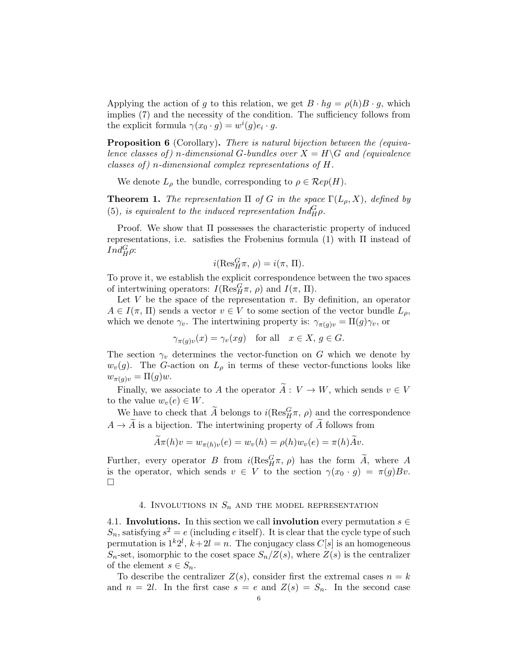Applying the action of g to this relation, we get  $B \cdot hg = \rho(h)B \cdot g$ , which implies (7) and the necessity of the condition. The sufficiency follows from the explicit formula  $\gamma(x_0 \cdot g) = w^i(g)e_i \cdot g$ .

**Proposition 6** (Corollary). There is natural bijection between the (equivalence classes of ) n-dimensional G-bundles over  $X = H\backslash G$  and (equivalence classes of) n-dimensional complex representations of  $H$ .

We denote  $L_{\rho}$  the bundle, corresponding to  $\rho \in \mathcal{R}ep(H)$ .

**Theorem 1.** The representation  $\Pi$  of G in the space  $\Gamma(L_{\rho}, X)$ , defined by (5), is equivalent to the induced representation  $Ind_H^G \rho$ .

Proof. We show that  $\Pi$  possesses the characteristic property of induced representations, i.e. satisfies the Frobenius formula  $(1)$  with  $\Pi$  instead of  $Ind_H^G \rho$ :

$$
i(\operatorname{Res}^G_H\pi, \, \rho)=i(\pi, \, \Pi).
$$

To prove it, we establish the explicit correspondence between the two spaces of intertwining operators:  $I(\text{Res}_{H}^{G} \pi, \rho)$  and  $I(\pi, \Pi)$ .

Let V be the space of the representation  $\pi$ . By definition, an operator  $A \in I(\pi, \Pi)$  sends a vector  $v \in V$  to some section of the vector bundle  $L_{\rho}$ , which we denote  $\gamma_v$ . The intertwining property is:  $\gamma_{\pi(g)v} = \Pi(g)\gamma_v$ , or

$$
\gamma_{\pi(g)v}(x) = \gamma_v(xg) \quad \text{for all} \quad x \in X, \, g \in G.
$$

The section  $\gamma_v$  determines the vector-function on G which we denote by  $w_v(g)$ . The G-action on  $L_\rho$  in terms of these vector-functions looks like  $w_{\pi(q)v} = \Pi(g)w.$ 

Finally, we associate to A the operator  $\widetilde{A}: V \to W$ , which sends  $v \in V$ to the value  $w_v(e) \in W$ .

We have to check that  $\widetilde{A}$  belongs to  $i(Res_H^G \pi, \rho)$  and the correspondence  $A \to \tilde{A}$  is a bijection. The intertwining property of  $\tilde{A}$  follows from

$$
\tilde{A}\pi(h)v = w_{\pi(h)v}(e) = w_v(h) = \rho(h)w_v(e) = \pi(h)\tilde{A}v.
$$

Further, every operator B from  $i(Res_H^G \pi, \rho)$  has the form  $\widetilde{A}$ , where A is the operator, which sends  $v \in V$  to the section  $\gamma(x_0 \cdot g) = \pi(g)Bv$ .  $\Box$ 

## 4. INVOLUTIONS IN  $S_n$  and the model representation

4.1. Involutions. In this section we call involution every permutation  $s \in \mathbb{R}$  $S_n$ , satisfying  $s^2 = e$  (including e itself). It is clear that the cycle type of such permutation is  $1^k 2^l$ ,  $k+2l = n$ . The conjugacy class  $C[s]$  is an homogeneous  $S_n$ -set, isomorphic to the coset space  $S_n/Z(s)$ , where  $Z(s)$  is the centralizer of the element  $s \in S_n$ .

To describe the centralizer  $Z(s)$ , consider first the extremal cases  $n = k$ and  $n = 2l$ . In the first case  $s = e$  and  $Z(s) = S_n$ . In the second case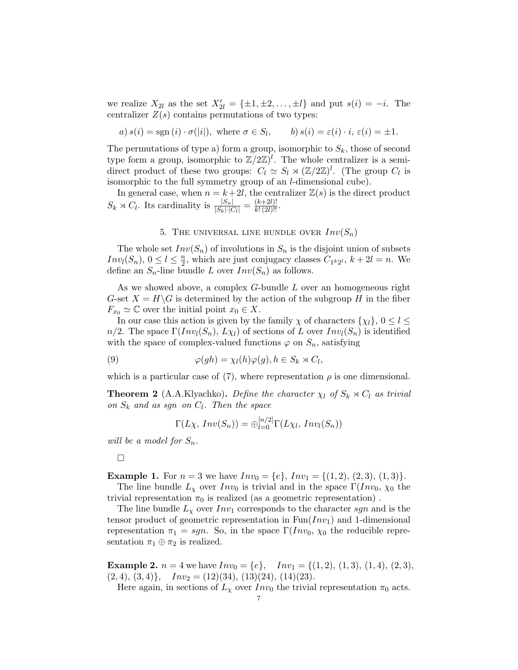we realize  $X_{2l}$  as the set  $X'_{2l} = {\pm 1, \pm 2, \ldots, \pm l}$  and put  $s(i) = -i$ . The centralizer  $Z(s)$  contains permutations of two types:

 $a) s(i) = sgn(i) \cdot \sigma(|i|), \text{ where } \sigma \in S_l, \quad b) s(i) = \varepsilon(i) \cdot i, \, \varepsilon(i) = \pm 1.$ 

The permutations of type a) form a group, isomorphic to  $S_k$ , those of second type form a group, isomorphic to  $\mathbb{Z}/2\mathbb{Z}$ . The whole centralizer is a semidirect product of these two groups:  $C_l \simeq S_l \rtimes (\mathbb{Z}/2\mathbb{Z})^l$ . (The group  $C_l$  is isomorphic to the full symmetry group of an l-dimensional cube).

In general case, when  $n = k + 2l$ , the centralizer  $\mathbb{Z}(s)$  is the direct product  $S_k \rtimes C_l$ . Its cardinality is  $\frac{|S_n|}{|S_k| \cdot |C_l|} = \frac{(k+2l)!}{k! (2l)!!}$ .

## 5. THE UNIVERSAL LINE BUNDLE OVER  $Inv(S_n)$

The whole set  $Inv(S_n)$  of involutions in  $S_n$  is the disjoint union of subsets  $Inv_l(S_n), 0 \leq l \leq \frac{n}{2}$  $\frac{n}{2}$ , which are just conjugacy classes  $C_{1}k_{2}l$ ,  $k+2l=n$ . We define an  $S_n$ -line bundle L over  $Inv(S_n)$  as follows.

As we showed above, a complex G-bundle L over an homogeneous right G-set  $X = H\backslash G$  is determined by the action of the subgroup H in the fiber  $F_{x_0} \simeq \mathbb{C}$  over the initial point  $x_0 \in X$ .

In our case this action is given by the family  $\chi$  of characters  $\{\chi_l\}, 0 \leq l \leq$  $n/2$ . The space  $\Gamma(Inv_l(S_n), L\chi_l)$  of sections of L over  $Inv_l(S_n)$  is identified with the space of complex-valued functions  $\varphi$  on  $S_n$ , satisfying

(9) 
$$
\varphi(gh) = \chi_l(h)\varphi(g), h \in S_k \rtimes C_l,
$$

which is a particular case of (7), where representation  $\rho$  is one dimensional.

**Theorem 2** (A.A.Klyachko). Define the character  $\chi_l$  of  $S_k \rtimes C_l$  as trivial on  $S_k$  and as sgn on  $C_l$ . Then the space

$$
\Gamma(L\chi, Inv(S_n)) = \bigoplus_{l=0}^{[n/2]} \Gamma(L\chi_l, Inv_l(S_n))
$$

will be a model for  $S_n$ .

#### $\Box$

**Example 1.** For  $n = 3$  we have  $Inv_0 = \{e\}$ ,  $Inv_1 = \{(1, 2), (2, 3), (1, 3)\}.$ 

The line bundle  $L_{\chi}$  over  $Inv_0$  is trivial and in the space  $\Gamma(Inv_0, \chi_0)$  the trivial representation  $\pi_0$  is realized (as a geometric representation).

The line bundle  $L<sub>\chi</sub>$  over  $Inv<sub>1</sub>$  corresponds to the character sgn and is the tensor product of geometric representation in  $Fun(Inv_1)$  and 1-dimensional representation  $\pi_1 = sgn$ . So, in the space  $\Gamma(Inv_0, \chi_0)$  the reducible representation  $\pi_1 \oplus \pi_2$  is realized.

**Example 2.**  $n = 4$  we have  $Inv_0 = \{e\}$ ,  $Inv_1 = \{(1, 2), (1, 3), (1, 4), (2, 3),\}$  $(2, 4), (3, 4)$ ,  $Inv_2 = (12)(34), (13)(24), (14)(23).$ 

Here again, in sections of  $L_{\chi}$  over  $Inv_0$  the trivial representation  $\pi_0$  acts.